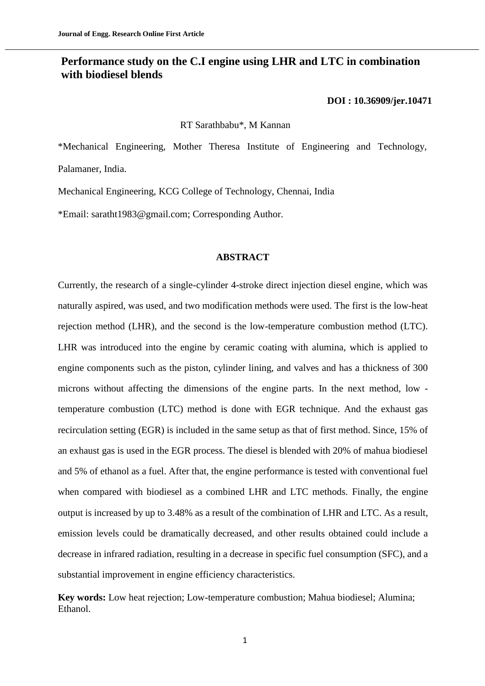## **Performance study on the C.I engine using LHR and LTC in combination with biodiesel blends**

#### **[DOI : 10.36909/jer.10471](https://doi.org/10.36909/jer.10471)**

RT Sarathbabu\*, M Kannan

\*Mechanical Engineering, Mother Theresa Institute of Engineering and Technology, Palamaner, India.

Mechanical Engineering, KCG College of Technology, Chennai, India

\*Email: saratht1983@gmail.com; Corresponding Author.

## **ABSTRACT**

Currently, the research of a single-cylinder 4-stroke direct injection diesel engine, which was naturally aspired, was used, and two modification methods were used. The first is the low-heat rejection method (LHR), and the second is the low-temperature combustion method (LTC). LHR was introduced into the engine by ceramic coating with alumina, which is applied to engine components such as the piston, cylinder lining, and valves and has a thickness of 300 microns without affecting the dimensions of the engine parts. In the next method, low temperature combustion (LTC) method is done with EGR technique. And the exhaust gas recirculation setting (EGR) is included in the same setup as that of first method. Since, 15% of an exhaust gas is used in the EGR process. The diesel is blended with 20% of mahua biodiesel and 5% of ethanol as a fuel. After that, the engine performance is tested with conventional fuel when compared with biodiesel as a combined LHR and LTC methods. Finally, the engine output is increased by up to 3.48% as a result of the combination of LHR and LTC. As a result, emission levels could be dramatically decreased, and other results obtained could include a decrease in infrared radiation, resulting in a decrease in specific fuel consumption (SFC), and a substantial improvement in engine efficiency characteristics.

**Key words:** Low heat rejection; Low-temperature combustion; Mahua biodiesel; Alumina; Ethanol.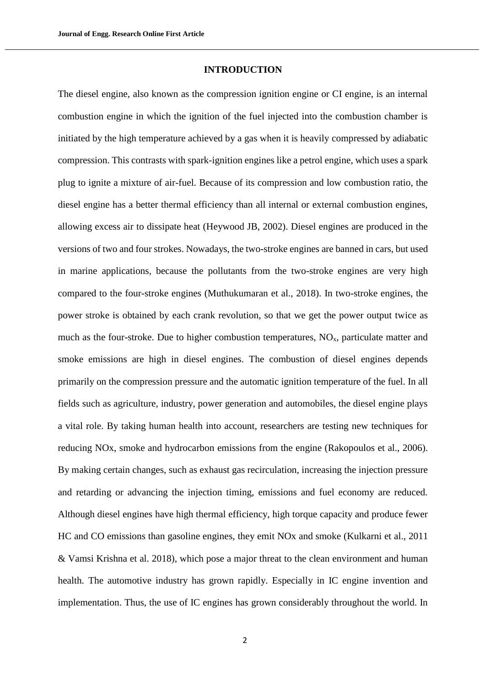## **INTRODUCTION**

The diesel engine, also known as the compression ignition engine or CI engine, is an internal combustion engine in which the ignition of the fuel injected into the combustion chamber is initiated by the high temperature achieved by a gas when it is heavily compressed by adiabatic compression. This contrasts with spark-ignition engines like a petrol engine, which uses a spark plug to ignite a mixture of air-fuel. Because of its compression and low combustion ratio, the diesel engine has a better thermal efficiency than all internal or external combustion engines, allowing excess air to dissipate heat (Heywood JB, 2002). Diesel engines are produced in the versions of two and four strokes. Nowadays, the two-stroke engines are banned in cars, but used in marine applications, because the pollutants from the two-stroke engines are very high compared to the four-stroke engines (Muthukumaran et al., 2018). In two-stroke engines, the power stroke is obtained by each crank revolution, so that we get the power output twice as much as the four-stroke. Due to higher combustion temperatures,  $NO<sub>x</sub>$ , particulate matter and smoke emissions are high in diesel engines. The combustion of diesel engines depends primarily on the compression pressure and the automatic ignition temperature of the fuel. In all fields such as agriculture, industry, power generation and automobiles, the diesel engine plays a vital role. By taking human health into account, researchers are testing new techniques for reducing NOx, smoke and hydrocarbon emissions from the engine (Rakopoulos et al., 2006). By making certain changes, such as exhaust gas recirculation, increasing the injection pressure and retarding or advancing the injection timing, emissions and fuel economy are reduced. Although diesel engines have high thermal efficiency, high torque capacity and produce fewer HC and CO emissions than gasoline engines, they emit NOx and smoke (Kulkarni et al., 2011 & Vamsi Krishna et al. 2018), which pose a major threat to the clean environment and human health. The automotive industry has grown rapidly. Especially in IC engine invention and implementation. Thus, the use of IC engines has grown considerably throughout the world. In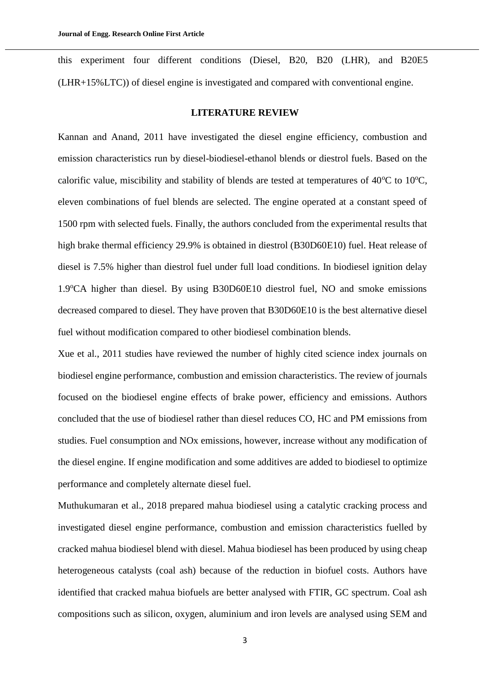this experiment four different conditions (Diesel, B20, B20 (LHR), and B20E5 (LHR+15%LTC)) of diesel engine is investigated and compared with conventional engine.

## **LITERATURE REVIEW**

Kannan and Anand, 2011 have investigated the diesel engine efficiency, combustion and emission characteristics run by diesel-biodiesel-ethanol blends or diestrol fuels. Based on the calorific value, miscibility and stability of blends are tested at temperatures of  $40^{\circ}$ C to  $10^{\circ}$ C, eleven combinations of fuel blends are selected. The engine operated at a constant speed of 1500 rpm with selected fuels. Finally, the authors concluded from the experimental results that high brake thermal efficiency 29.9% is obtained in diestrol (B30D60E10) fuel. Heat release of diesel is 7.5% higher than diestrol fuel under full load conditions. In biodiesel ignition delay 1.9°CA higher than diesel. By using B30D60E10 diestrol fuel, NO and smoke emissions decreased compared to diesel. They have proven that B30D60E10 is the best alternative diesel fuel without modification compared to other biodiesel combination blends.

Xue et al., 2011 studies have reviewed the number of highly cited science index journals on biodiesel engine performance, combustion and emission characteristics. The review of journals focused on the biodiesel engine effects of brake power, efficiency and emissions. Authors concluded that the use of biodiesel rather than diesel reduces CO, HC and PM emissions from studies. Fuel consumption and NOx emissions, however, increase without any modification of the diesel engine. If engine modification and some additives are added to biodiesel to optimize performance and completely alternate diesel fuel.

Muthukumaran et al., 2018 prepared mahua biodiesel using a catalytic cracking process and investigated diesel engine performance, combustion and emission characteristics fuelled by cracked mahua biodiesel blend with diesel. Mahua biodiesel has been produced by using cheap heterogeneous catalysts (coal ash) because of the reduction in biofuel costs. Authors have identified that cracked mahua biofuels are better analysed with FTIR, GC spectrum. Coal ash compositions such as silicon, oxygen, aluminium and iron levels are analysed using SEM and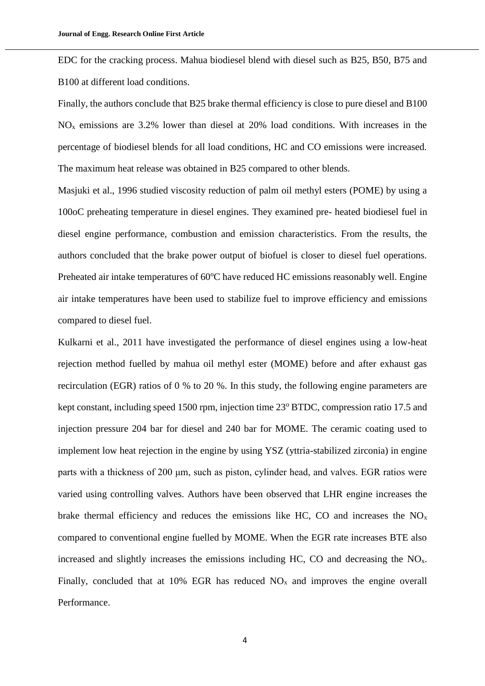EDC for the cracking process. Mahua biodiesel blend with diesel such as B25, B50, B75 and B100 at different load conditions.

Finally, the authors conclude that B25 brake thermal efficiency is close to pure diesel and B100  $NO<sub>x</sub>$  emissions are 3.2% lower than diesel at 20% load conditions. With increases in the percentage of biodiesel blends for all load conditions, HC and CO emissions were increased. The maximum heat release was obtained in B25 compared to other blends.

Masjuki et al., 1996 studied viscosity reduction of palm oil methyl esters (POME) by using a 100oC preheating temperature in diesel engines. They examined pre- heated biodiesel fuel in diesel engine performance, combustion and emission characteristics. From the results, the authors concluded that the brake power output of biofuel is closer to diesel fuel operations. Preheated air intake temperatures of  $60^{\circ}$ C have reduced HC emissions reasonably well. Engine air intake temperatures have been used to stabilize fuel to improve efficiency and emissions compared to diesel fuel.

Kulkarni et al., 2011 have investigated the performance of diesel engines using a low-heat rejection method fuelled by mahua oil methyl ester (MOME) before and after exhaust gas recirculation (EGR) ratios of 0 % to 20 %. In this study, the following engine parameters are kept constant, including speed 1500 rpm, injection time 23<sup>°</sup> BTDC, compression ratio 17.5 and injection pressure 204 bar for diesel and 240 bar for MOME. The ceramic coating used to implement low heat rejection in the engine by using YSZ (yttria-stabilized zirconia) in engine parts with a thickness of 200 μm, such as piston, cylinder head, and valves. EGR ratios were varied using controlling valves. Authors have been observed that LHR engine increases the brake thermal efficiency and reduces the emissions like HC, CO and increases the  $NO<sub>x</sub>$ compared to conventional engine fuelled by MOME. When the EGR rate increases BTE also increased and slightly increases the emissions including HC, CO and decreasing the  $NO<sub>x</sub>$ . Finally, concluded that at 10% EGR has reduced  $NO<sub>x</sub>$  and improves the engine overall Performance.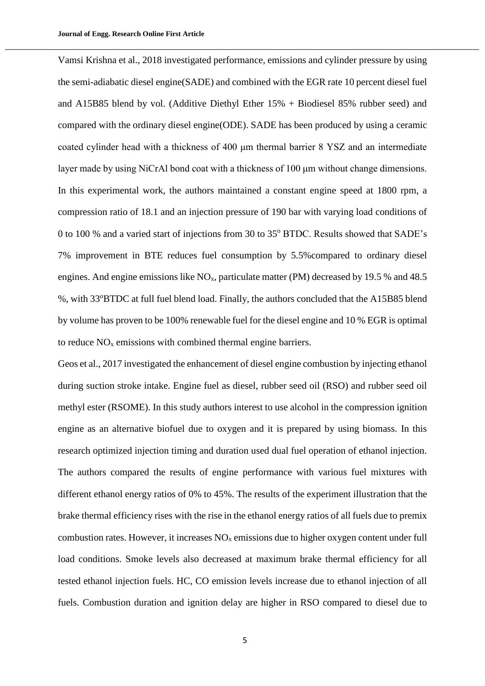Vamsi Krishna et al., 2018 investigated performance, emissions and cylinder pressure by using the semi-adiabatic diesel engine(SADE) and combined with the EGR rate 10 percent diesel fuel and A15B85 blend by vol. (Additive Diethyl Ether 15% + Biodiesel 85% rubber seed) and compared with the ordinary diesel engine(ODE). SADE has been produced by using a ceramic coated cylinder head with a thickness of 400 μm thermal barrier 8 YSZ and an intermediate layer made by using NiCrAl bond coat with a thickness of 100 μm without change dimensions. In this experimental work, the authors maintained a constant engine speed at 1800 rpm, a compression ratio of 18.1 and an injection pressure of 190 bar with varying load conditions of 0 to 100 % and a varied start of injections from 30 to 35° BTDC. Results showed that SADE's 7% improvement in BTE reduces fuel consumption by 5.5%compared to ordinary diesel engines. And engine emissions like  $NO<sub>x</sub>$ , particulate matter (PM) decreased by 19.5 % and 48.5 %, with 33<sup>o</sup>BTDC at full fuel blend load. Finally, the authors concluded that the A15B85 blend by volume has proven to be 100% renewable fuel for the diesel engine and 10 % EGR is optimal to reduce  $NO<sub>x</sub>$  emissions with combined thermal engine barriers.

Geos et al., 2017 investigated the enhancement of diesel engine combustion by injecting ethanol during suction stroke intake. Engine fuel as diesel, rubber seed oil (RSO) and rubber seed oil methyl ester (RSOME). In this study authors interest to use alcohol in the compression ignition engine as an alternative biofuel due to oxygen and it is prepared by using biomass. In this research optimized injection timing and duration used dual fuel operation of ethanol injection. The authors compared the results of engine performance with various fuel mixtures with different ethanol energy ratios of 0% to 45%. The results of the experiment illustration that the brake thermal efficiency rises with the rise in the ethanol energy ratios of all fuels due to premix combustion rates. However, it increases  $NO<sub>x</sub>$  emissions due to higher oxygen content under full load conditions. Smoke levels also decreased at maximum brake thermal efficiency for all tested ethanol injection fuels. HC, CO emission levels increase due to ethanol injection of all fuels. Combustion duration and ignition delay are higher in RSO compared to diesel due to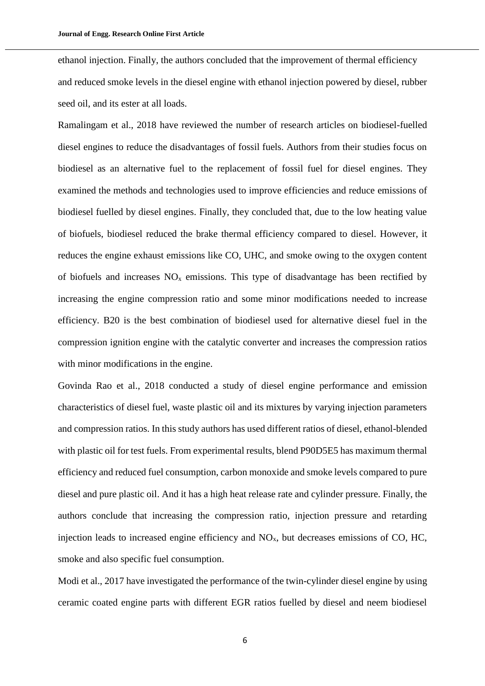ethanol injection. Finally, the authors concluded that the improvement of thermal efficiency and reduced smoke levels in the diesel engine with ethanol injection powered by diesel, rubber seed oil, and its ester at all loads.

Ramalingam et al., 2018 have reviewed the number of research articles on biodiesel-fuelled diesel engines to reduce the disadvantages of fossil fuels. Authors from their studies focus on biodiesel as an alternative fuel to the replacement of fossil fuel for diesel engines. They examined the methods and technologies used to improve efficiencies and reduce emissions of biodiesel fuelled by diesel engines. Finally, they concluded that, due to the low heating value of biofuels, biodiesel reduced the brake thermal efficiency compared to diesel. However, it reduces the engine exhaust emissions like CO, UHC, and smoke owing to the oxygen content of biofuels and increases  $NO<sub>x</sub>$  emissions. This type of disadvantage has been rectified by increasing the engine compression ratio and some minor modifications needed to increase efficiency. B20 is the best combination of biodiesel used for alternative diesel fuel in the compression ignition engine with the catalytic converter and increases the compression ratios with minor modifications in the engine.

Govinda Rao et al., 2018 conducted a study of diesel engine performance and emission characteristics of diesel fuel, waste plastic oil and its mixtures by varying injection parameters and compression ratios. In this study authors has used different ratios of diesel, ethanol-blended with plastic oil for test fuels. From experimental results, blend P90D5E5 has maximum thermal efficiency and reduced fuel consumption, carbon monoxide and smoke levels compared to pure diesel and pure plastic oil. And it has a high heat release rate and cylinder pressure. Finally, the authors conclude that increasing the compression ratio, injection pressure and retarding injection leads to increased engine efficiency and NOx, but decreases emissions of CO, HC, smoke and also specific fuel consumption.

Modi et al., 2017 have investigated the performance of the twin-cylinder diesel engine by using ceramic coated engine parts with different EGR ratios fuelled by diesel and neem biodiesel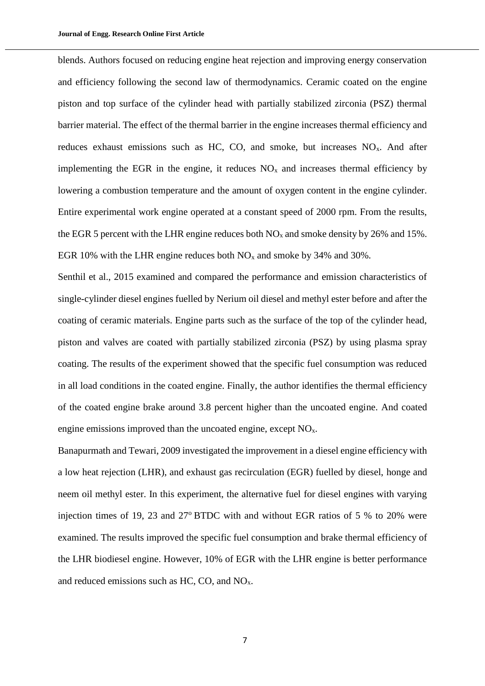blends. Authors focused on reducing engine heat rejection and improving energy conservation and efficiency following the second law of thermodynamics. Ceramic coated on the engine piston and top surface of the cylinder head with partially stabilized zirconia (PSZ) thermal barrier material. The effect of the thermal barrier in the engine increases thermal efficiency and reduces exhaust emissions such as HC, CO, and smoke, but increases  $NO<sub>x</sub>$ . And after implementing the EGR in the engine, it reduces  $NO<sub>x</sub>$  and increases thermal efficiency by lowering a combustion temperature and the amount of oxygen content in the engine cylinder. Entire experimental work engine operated at a constant speed of 2000 rpm. From the results, the EGR 5 percent with the LHR engine reduces both  $NO<sub>x</sub>$  and smoke density by 26% and 15%. EGR 10% with the LHR engine reduces both  $NO<sub>x</sub>$  and smoke by 34% and 30%.

Senthil et al., 2015 examined and compared the performance and emission characteristics of single-cylinder diesel engines fuelled by Nerium oil diesel and methyl ester before and after the coating of ceramic materials. Engine parts such as the surface of the top of the cylinder head, piston and valves are coated with partially stabilized zirconia (PSZ) by using plasma spray coating. The results of the experiment showed that the specific fuel consumption was reduced in all load conditions in the coated engine. Finally, the author identifies the thermal efficiency of the coated engine brake around 3.8 percent higher than the uncoated engine. And coated engine emissions improved than the uncoated engine, except NO<sub>x</sub>.

Banapurmath and Tewari, 2009 investigated the improvement in a diesel engine efficiency with a low heat rejection (LHR), and exhaust gas recirculation (EGR) fuelled by diesel, honge and neem oil methyl ester. In this experiment, the alternative fuel for diesel engines with varying injection times of 19, 23 and 27 $\textdegree$ BTDC with and without EGR ratios of 5  $\%$  to 20 $\%$  were examined. The results improved the specific fuel consumption and brake thermal efficiency of the LHR biodiesel engine. However, 10% of EGR with the LHR engine is better performance and reduced emissions such as  $HC$ ,  $CO$ , and  $NO<sub>x</sub>$ .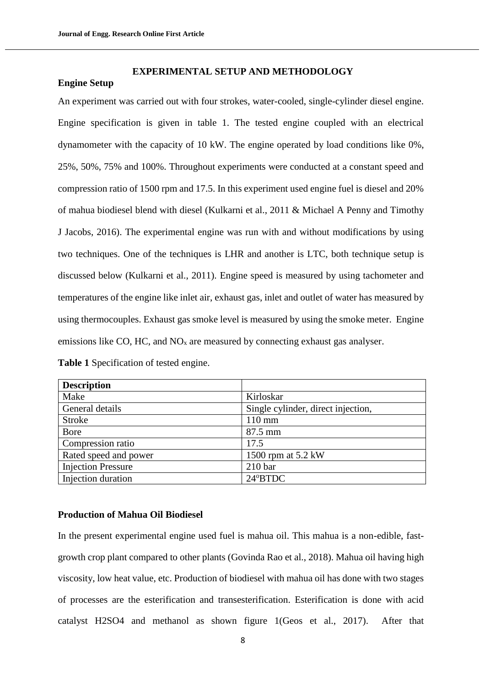#### **EXPERIMENTAL SETUP AND METHODOLOGY**

### **Engine Setup**

An experiment was carried out with four strokes, water-cooled, single-cylinder diesel engine. Engine specification is given in table 1. The tested engine coupled with an electrical dynamometer with the capacity of 10 kW. The engine operated by load conditions like 0%, 25%, 50%, 75% and 100%. Throughout experiments were conducted at a constant speed and compression ratio of 1500 rpm and 17.5. In this experiment used engine fuel is diesel and 20% of mahua biodiesel blend with diesel (Kulkarni et al., 2011 & Michael A Penny and Timothy J Jacobs, 2016). The experimental engine was run with and without modifications by using two techniques. One of the techniques is LHR and another is LTC, both technique setup is discussed below (Kulkarni et al., 2011). Engine speed is measured by using tachometer and temperatures of the engine like inlet air, exhaust gas, inlet and outlet of water has measured by using thermocouples. Exhaust gas smoke level is measured by using the smoke meter. Engine emissions like CO, HC, and  $NO<sub>x</sub>$  are measured by connecting exhaust gas analyser.

| <b>Table 1</b> Specification of tested engine. |  |
|------------------------------------------------|--|
|                                                |  |

| <b>Description</b>        |                                    |
|---------------------------|------------------------------------|
| Make                      | Kirloskar                          |
| General details           | Single cylinder, direct injection, |
| <b>Stroke</b>             | $110 \text{ mm}$                   |
| Bore                      | $87.5$ mm                          |
| Compression ratio         | 17.5                               |
| Rated speed and power     | 1500 rpm at 5.2 kW                 |
| <b>Injection Pressure</b> | 210 <sub>bar</sub>                 |
| Injection duration        | 24°BTDC                            |

## **Production of Mahua Oil Biodiesel**

In the present experimental engine used fuel is mahua oil. This mahua is a non-edible, fastgrowth crop plant compared to other plants (Govinda Rao et al., 2018). Mahua oil having high viscosity, low heat value, etc. Production of biodiesel with mahua oil has done with two stages of processes are the esterification and transesterification. Esterification is done with acid catalyst H2SO4 and methanol as shown figure 1(Geos et al., 2017). After that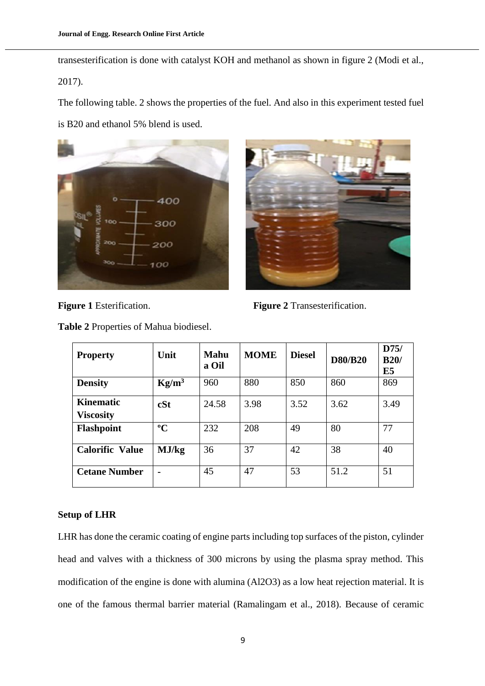transesterification is done with catalyst KOH and methanol as shown in figure 2 (Modi et al., 2017).

The following table. 2 shows the properties of the fuel. And also in this experiment tested fuel is B20 and ethanol 5% blend is used.





**Figure 1** Esterification. **Figure 2** Transesterification.

| <b>Property</b>                      | Unit        | <b>Mahu</b><br>a Oil | <b>MOME</b> | <b>Diesel</b> | <b>D80/B20</b> | D75/<br>B20/<br>E <sub>5</sub> |
|--------------------------------------|-------------|----------------------|-------------|---------------|----------------|--------------------------------|
| <b>Density</b>                       | $Kg/m^3$    | 960                  | 880         | 850           | 860            | 869                            |
| <b>Kinematic</b><br><b>Viscosity</b> | cSt         | 24.58                | 3.98        | 3.52          | 3.62           | 3.49                           |
| <b>Flashpoint</b>                    | $\rm ^{o}C$ | 232                  | 208         | 49            | 80             | 77                             |
| <b>Calorific Value</b>               | MJ/kg       | 36                   | 37          | 42            | 38             | 40                             |
| <b>Cetane Number</b>                 |             | 45                   | 47          | 53            | 51.2           | 51                             |

**Table 2** Properties of Mahua biodiesel.

## **Setup of LHR**

LHR has done the ceramic coating of engine parts including top surfaces of the piston, cylinder head and valves with a thickness of 300 microns by using the plasma spray method. This modification of the engine is done with alumina (Al2O3) as a low heat rejection material. It is one of the famous thermal barrier material (Ramalingam et al., 2018). Because of ceramic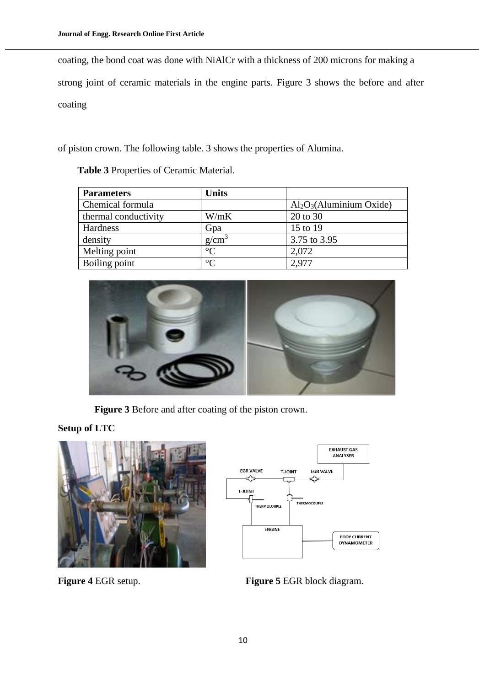coating, the bond coat was done with NiAlCr with a thickness of 200 microns for making a strong joint of ceramic materials in the engine parts. Figure 3 shows the before and after coating

of piston crown. The following table. 3 shows the properties of Alumina.

| <b>Parameters</b>    | <b>Units</b>    |                             |
|----------------------|-----------------|-----------------------------|
| Chemical formula     |                 | $Al_2O_3$ (Aluminium Oxide) |
| thermal conductivity | W/mK            | 20 to 30                    |
| Hardness             | Gpa             | 15 to 19                    |
| density              | $g/cm^3$        | 3.75 to 3.95                |
| Melting point        | $\rm ^{\circ}C$ | 2,072                       |
| Boiling point        | $\rm ^{\circ}C$ | 2,977                       |

 **Table 3** Properties of Ceramic Material.



 **Figure 3** Before and after coating of the piston crown.

# **Setup of LTC**





**Figure 4** EGR setup. **Figure 5** EGR block diagram.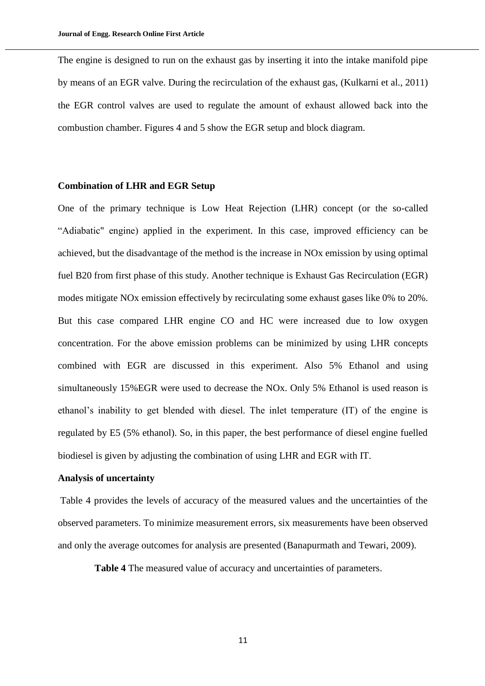The engine is designed to run on the exhaust gas by inserting it into the intake manifold pipe by means of an EGR valve. During the recirculation of the exhaust gas, (Kulkarni et al., 2011) the EGR control valves are used to regulate the amount of exhaust allowed back into the combustion chamber. Figures 4 and 5 show the EGR setup and block diagram.

#### **Combination of LHR and EGR Setup**

One of the primary technique is Low Heat Rejection (LHR) concept (or the so-called "Adiabatic" engine) applied in the experiment. In this case, improved efficiency can be achieved, but the disadvantage of the method is the increase in NOx emission by using optimal fuel B20 from first phase of this study. Another technique is Exhaust Gas Recirculation (EGR) modes mitigate NOx emission effectively by recirculating some exhaust gases like 0% to 20%. But this case compared LHR engine CO and HC were increased due to low oxygen concentration. For the above emission problems can be minimized by using LHR concepts combined with EGR are discussed in this experiment. Also 5% Ethanol and using simultaneously 15%EGR were used to decrease the NOx. Only 5% Ethanol is used reason is ethanol's inability to get blended with diesel. The inlet temperature (IT) of the engine is regulated by E5 (5% ethanol). So, in this paper, the best performance of diesel engine fuelled biodiesel is given by adjusting the combination of using LHR and EGR with IT.

## **Analysis of uncertainty**

Table 4 provides the levels of accuracy of the measured values and the uncertainties of the observed parameters. To minimize measurement errors, six measurements have been observed and only the average outcomes for analysis are presented (Banapurmath and Tewari, 2009).

**Table 4** The measured value of accuracy and uncertainties of parameters.

11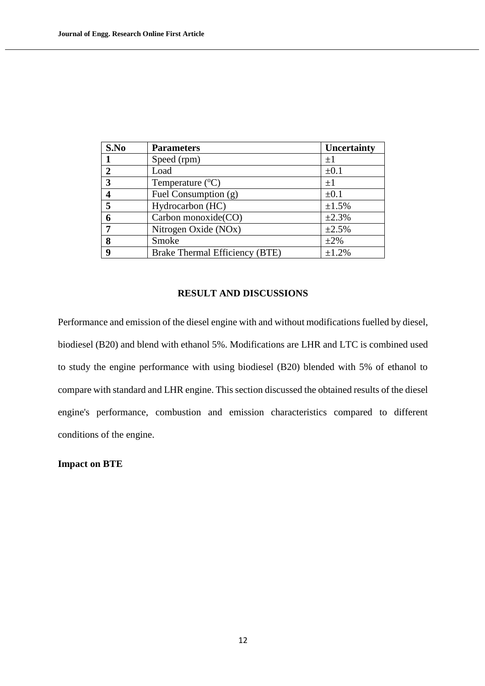| S.No           | <b>Parameters</b>              | Uncertainty |
|----------------|--------------------------------|-------------|
|                | Speed (rpm)                    | $\pm 1$     |
| $\overline{2}$ | Load                           | $\pm 0.1$   |
| 3              | Temperature $(^{\circ}C)$      | $\pm 1$     |
| 4              | Fuel Consumption (g)           | $\pm 0.1$   |
| 5              | Hydrocarbon (HC)               | ±1.5%       |
| 6              | Carbon monoxide(CO)            | ±2.3%       |
|                | Nitrogen Oxide (NOx)           | ±2.5%       |
| 8              | Smoke                          | $\pm 2\%$   |
| 9              | Brake Thermal Efficiency (BTE) | ±1.2%       |

## **RESULT AND DISCUSSIONS**

Performance and emission of the diesel engine with and without modifications fuelled by diesel, biodiesel (B20) and blend with ethanol 5%. Modifications are LHR and LTC is combined used to study the engine performance with using biodiesel (B20) blended with 5% of ethanol to compare with standard and LHR engine. This section discussed the obtained results of the diesel engine's performance, combustion and emission characteristics compared to different conditions of the engine.

**Impact on BTE**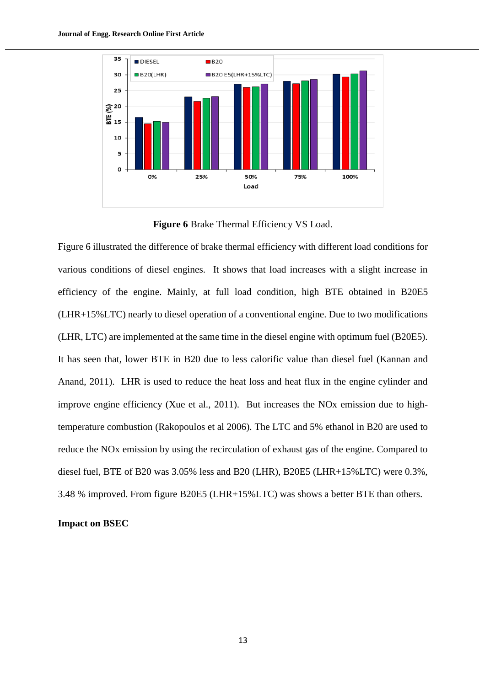

**Figure 6** Brake Thermal Efficiency VS Load.

Figure 6 illustrated the difference of brake thermal efficiency with different load conditions for various conditions of diesel engines. It shows that load increases with a slight increase in efficiency of the engine. Mainly, at full load condition, high BTE obtained in B20E5 (LHR+15%LTC) nearly to diesel operation of a conventional engine. Due to two modifications (LHR, LTC) are implemented at the same time in the diesel engine with optimum fuel (B20E5). It has seen that, lower BTE in B20 due to less calorific value than diesel fuel (Kannan and Anand, 2011). LHR is used to reduce the heat loss and heat flux in the engine cylinder and improve engine efficiency (Xue et al., 2011). But increases the NOx emission due to hightemperature combustion (Rakopoulos et al 2006). The LTC and 5% ethanol in B20 are used to reduce the NOx emission by using the recirculation of exhaust gas of the engine. Compared to diesel fuel, BTE of B20 was 3.05% less and B20 (LHR), B20E5 (LHR+15%LTC) were 0.3%, 3.48 % improved. From figure B20E5 (LHR+15%LTC) was shows a better BTE than others.

#### **Impact on BSEC**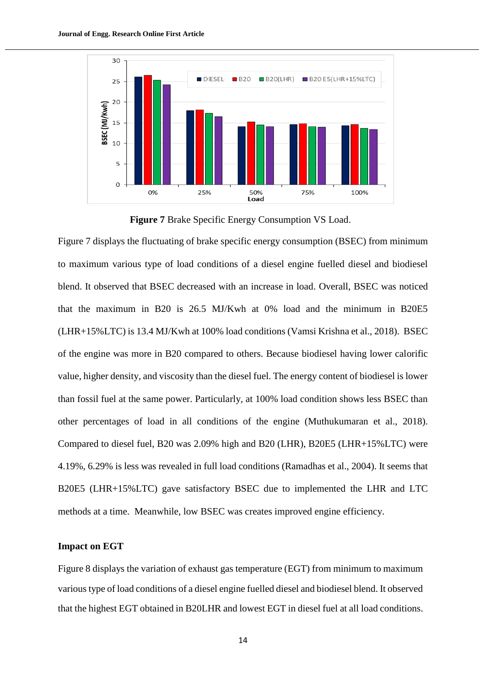

**Figure 7** Brake Specific Energy Consumption VS Load.

Figure 7 displays the fluctuating of brake specific energy consumption (BSEC) from minimum to maximum various type of load conditions of a diesel engine fuelled diesel and biodiesel blend. It observed that BSEC decreased with an increase in load. Overall, BSEC was noticed that the maximum in B20 is 26.5 MJ/Kwh at 0% load and the minimum in B20E5 (LHR+15%LTC) is 13.4 MJ/Kwh at 100% load conditions (Vamsi Krishna et al., 2018). BSEC of the engine was more in B20 compared to others. Because biodiesel having lower calorific value, higher density, and viscosity than the diesel fuel. The energy content of biodiesel is lower than fossil fuel at the same power. Particularly, at 100% load condition shows less BSEC than other percentages of load in all conditions of the engine (Muthukumaran et al., 2018). Compared to diesel fuel, B20 was 2.09% high and B20 (LHR), B20E5 (LHR+15%LTC) were 4.19%, 6.29% is less was revealed in full load conditions (Ramadhas et al., 2004). It seems that B20E5 (LHR+15%LTC) gave satisfactory BSEC due to implemented the LHR and LTC methods at a time. Meanwhile, low BSEC was creates improved engine efficiency.

## **Impact on EGT**

Figure 8 displays the variation of exhaust gas temperature (EGT) from minimum to maximum various type of load conditions of a diesel engine fuelled diesel and biodiesel blend. It observed that the highest EGT obtained in B20LHR and lowest EGT in diesel fuel at all load conditions.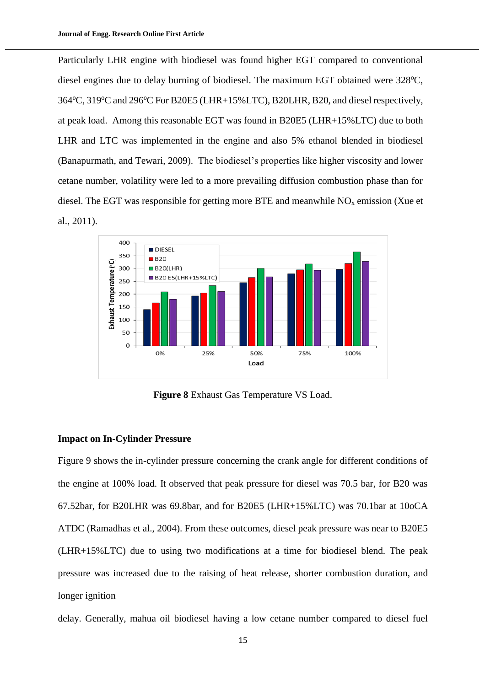Particularly LHR engine with biodiesel was found higher EGT compared to conventional diesel engines due to delay burning of biodiesel. The maximum EGT obtained were  $328^{\circ}$ C,  $364^{\circ}$ C,  $319^{\circ}$ C and  $296^{\circ}$ C For B20E5 (LHR+15%LTC), B20LHR, B20, and diesel respectively, at peak load. Among this reasonable EGT was found in B20E5 (LHR+15%LTC) due to both LHR and LTC was implemented in the engine and also 5% ethanol blended in biodiesel (Banapurmath, and Tewari, 2009). The biodiesel's properties like higher viscosity and lower cetane number, volatility were led to a more prevailing diffusion combustion phase than for diesel. The EGT was responsible for getting more BTE and meanwhile  $NO<sub>x</sub>$  emission (Xue et al., 2011).



**Figure 8** Exhaust Gas Temperature VS Load.

### **Impact on In-Cylinder Pressure**

Figure 9 shows the in-cylinder pressure concerning the crank angle for different conditions of the engine at 100% load. It observed that peak pressure for diesel was 70.5 bar, for B20 was 67.52bar, for B20LHR was 69.8bar, and for B20E5 (LHR+15%LTC) was 70.1bar at 10oCA ATDC (Ramadhas et al., 2004). From these outcomes, diesel peak pressure was near to B20E5 (LHR+15%LTC) due to using two modifications at a time for biodiesel blend. The peak pressure was increased due to the raising of heat release, shorter combustion duration, and longer ignition

delay. Generally, mahua oil biodiesel having a low cetane number compared to diesel fuel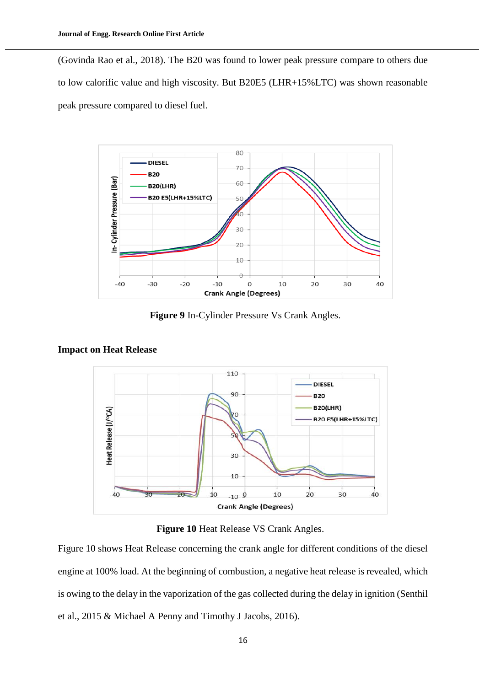(Govinda Rao et al., 2018). The B20 was found to lower peak pressure compare to others due to low calorific value and high viscosity. But B20E5 (LHR+15%LTC) was shown reasonable peak pressure compared to diesel fuel.



**Figure 9** In-Cylinder Pressure Vs Crank Angles.



## **Impact on Heat Release**

**Figure 10** Heat Release VS Crank Angles.

Figure 10 shows Heat Release concerning the crank angle for different conditions of the diesel engine at 100% load. At the beginning of combustion, a negative heat release is revealed, which is owing to the delay in the vaporization of the gas collected during the delay in ignition (Senthil et al., 2015 & Michael A Penny and Timothy J Jacobs, 2016).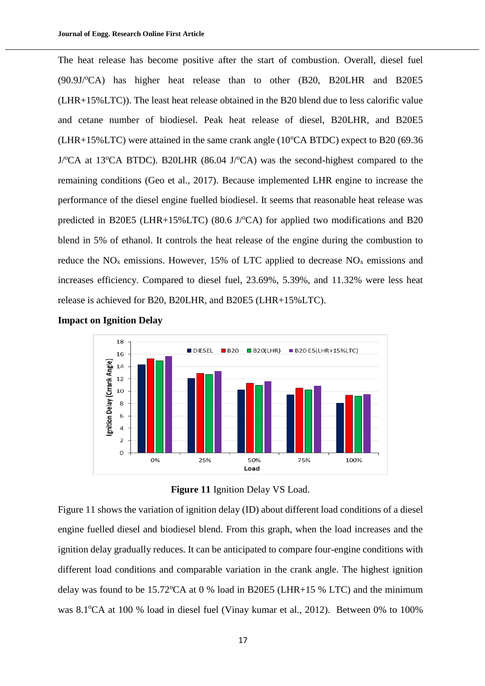The heat release has become positive after the start of combustion. Overall, diesel fuel  $(90.9J/\text{C})$  has higher heat release than to other  $(B20, B20L)$  and B20E5 (LHR+15%LTC)). The least heat release obtained in the B20 blend due to less calorific value and cetane number of biodiesel. Peak heat release of diesel, B20LHR, and B20E5 (LHR+15%LTC) were attained in the same crank angle  $(10^{\circ}CA \, BTDC)$  expect to B20 (69.36)  $J$ <sup>o</sup>CA at 13<sup>o</sup>CA BTDC). B20LHR (86.04 J<sup>o</sup>CA) was the second-highest compared to the remaining conditions (Geo et al., 2017). Because implemented LHR engine to increase the performance of the diesel engine fuelled biodiesel. It seems that reasonable heat release was predicted in B20E5 (LHR+15%LTC) (80.6 J/ $\textdegree$ CA) for applied two modifications and B20 blend in 5% of ethanol. It controls the heat release of the engine during the combustion to reduce the  $NO<sub>x</sub>$  emissions. However, 15% of LTC applied to decrease  $NO<sub>x</sub>$  emissions and increases efficiency. Compared to diesel fuel, 23.69%, 5.39%, and 11.32% were less heat release is achieved for B20, B20LHR, and B20E5 (LHR+15%LTC).







Figure 11 shows the variation of ignition delay (ID) about different load conditions of a diesel engine fuelled diesel and biodiesel blend. From this graph, when the load increases and the ignition delay gradually reduces. It can be anticipated to compare four-engine conditions with different load conditions and comparable variation in the crank angle. The highest ignition delay was found to be  $15.72^{\circ}$ CA at 0 % load in B20E5 (LHR+15 % LTC) and the minimum was 8.1<sup>o</sup>CA at 100 % load in diesel fuel (Vinay kumar et al., 2012). Between 0% to 100%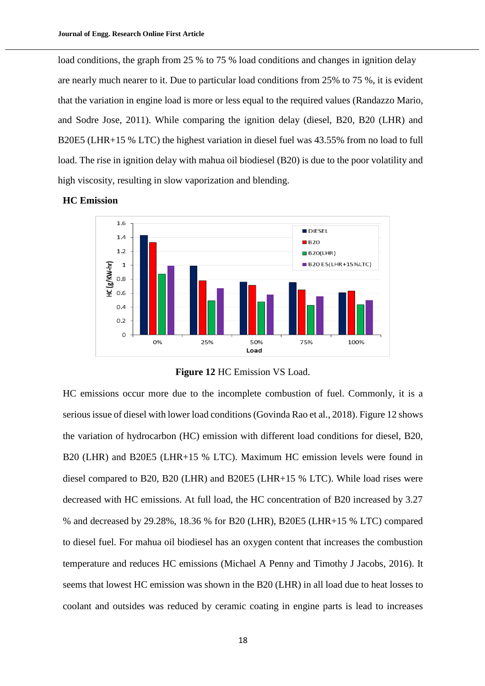load conditions, the graph from 25 % to 75 % load conditions and changes in ignition delay are nearly much nearer to it. Due to particular load conditions from 25% to 75 %, it is evident that the variation in engine load is more or less equal to the required values (Randazzo Mario, and Sodre Jose, 2011). While comparing the ignition delay (diesel, B20, B20 (LHR) and B20E5 (LHR+15 % LTC) the highest variation in diesel fuel was 43.55% from no load to full load. The rise in ignition delay with mahua oil biodiesel (B20) is due to the poor volatility and high viscosity, resulting in slow vaporization and blending.



## **HC Emission**

**Figure 12** HC Emission VS Load.

HC emissions occur more due to the incomplete combustion of fuel. Commonly, it is a serious issue of diesel with lower load conditions (Govinda Rao et al., 2018). Figure 12 shows the variation of hydrocarbon (HC) emission with different load conditions for diesel, B20, B20 (LHR) and B20E5 (LHR+15 % LTC). Maximum HC emission levels were found in diesel compared to B20, B20 (LHR) and B20E5 (LHR+15 % LTC). While load rises were decreased with HC emissions. At full load, the HC concentration of B20 increased by 3.27 % and decreased by 29.28%, 18.36 % for B20 (LHR), B20E5 (LHR+15 % LTC) compared to diesel fuel. For mahua oil biodiesel has an oxygen content that increases the combustion temperature and reduces HC emissions (Michael A Penny and Timothy J Jacobs, 2016). It seems that lowest HC emission was shown in the B20 (LHR) in all load due to heat losses to coolant and outsides was reduced by ceramic coating in engine parts is lead to increases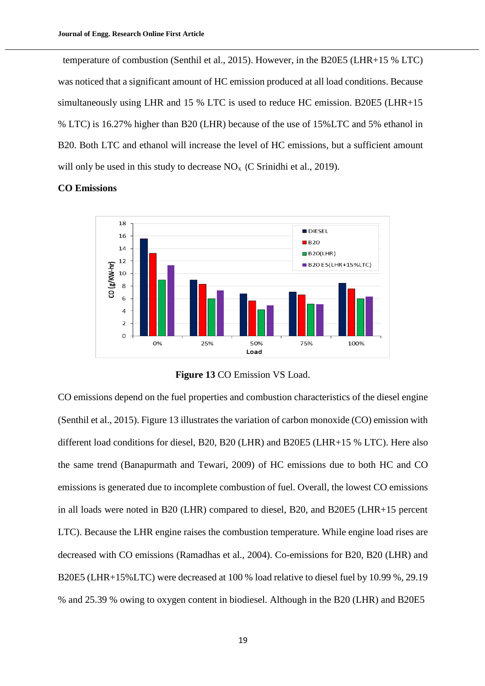temperature of combustion (Senthil et al., 2015). However, in the B20E5 (LHR+15 % LTC) was noticed that a significant amount of HC emission produced at all load conditions. Because simultaneously using LHR and 15 % LTC is used to reduce HC emission. B20E5 (LHR+15 % LTC) is 16.27% higher than B20 (LHR) because of the use of 15%LTC and 5% ethanol in B20. Both LTC and ethanol will increase the level of HC emissions, but a sufficient amount will only be used in this study to decrease  $NO<sub>x</sub>$  (C Srinidhi et al., 2019).

#### **CO Emissions**



**Figure 13** CO Emission VS Load.

CO emissions depend on the fuel properties and combustion characteristics of the diesel engine (Senthil et al., 2015). Figure 13 illustrates the variation of carbon monoxide (CO) emission with different load conditions for diesel, B20, B20 (LHR) and B20E5 (LHR+15 % LTC). Here also the same trend (Banapurmath and Tewari, 2009) of HC emissions due to both HC and CO emissions is generated due to incomplete combustion of fuel. Overall, the lowest CO emissions in all loads were noted in B20 (LHR) compared to diesel, B20, and B20E5 (LHR+15 percent LTC). Because the LHR engine raises the combustion temperature. While engine load rises are decreased with CO emissions (Ramadhas et al., 2004). Co-emissions for B20, B20 (LHR) and B20E5 (LHR+15%LTC) were decreased at 100 % load relative to diesel fuel by 10.99 %, 29.19 % and 25.39 % owing to oxygen content in biodiesel. Although in the B20 (LHR) and B20E5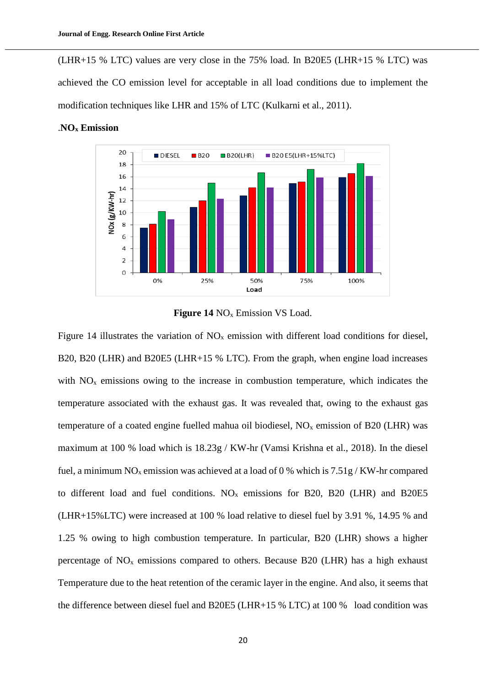(LHR+15 % LTC) values are very close in the 75% load. In B20E5 (LHR+15 % LTC) was achieved the CO emission level for acceptable in all load conditions due to implement the modification techniques like LHR and 15% of LTC (Kulkarni et al., 2011).



#### .**NO<sup>x</sup> Emission**



Figure 14 illustrates the variation of  $NO<sub>x</sub>$  emission with different load conditions for diesel, B20, B20 (LHR) and B20E5 (LHR+15 % LTC). From the graph, when engine load increases with  $NO<sub>x</sub>$  emissions owing to the increase in combustion temperature, which indicates the temperature associated with the exhaust gas. It was revealed that, owing to the exhaust gas temperature of a coated engine fuelled mahua oil biodiesel,  $NO<sub>x</sub>$  emission of B20 (LHR) was maximum at 100 % load which is 18.23g / KW-hr (Vamsi Krishna et al., 2018). In the diesel fuel, a minimum  $NO_x$  emission was achieved at a load of 0 % which is  $7.51g/KW$ -hr compared to different load and fuel conditions.  $NO<sub>x</sub>$  emissions for B20, B20 (LHR) and B20E5 (LHR+15%LTC) were increased at 100 % load relative to diesel fuel by 3.91 %, 14.95 % and 1.25 % owing to high combustion temperature. In particular, B20 (LHR) shows a higher percentage of  $NO<sub>x</sub>$  emissions compared to others. Because B20 (LHR) has a high exhaust Temperature due to the heat retention of the ceramic layer in the engine. And also, it seems that the difference between diesel fuel and B20E5 (LHR+15 % LTC) at 100 % load condition was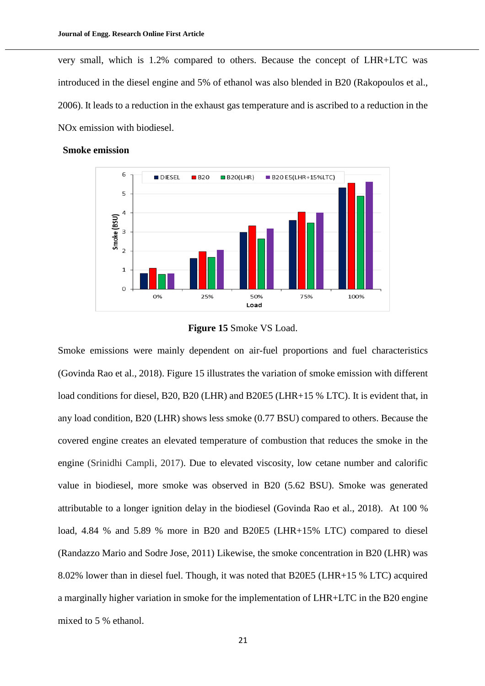very small, which is 1.2% compared to others. Because the concept of LHR+LTC was introduced in the diesel engine and 5% of ethanol was also blended in B20 (Rakopoulos et al., 2006). It leads to a reduction in the exhaust gas temperature and is ascribed to a reduction in the NOx emission with biodiesel.



### **Smoke emission**

### **Figure 15** Smoke VS Load.

Smoke emissions were mainly dependent on air-fuel proportions and fuel characteristics (Govinda Rao et al., 2018). Figure 15 illustrates the variation of smoke emission with different load conditions for diesel, B20, B20 (LHR) and B20E5 (LHR+15 % LTC). It is evident that, in any load condition, B20 (LHR) shows less smoke (0.77 BSU) compared to others. Because the covered engine creates an elevated temperature of combustion that reduces the smoke in the engine (Srinidhi Campli, 2017). Due to elevated viscosity, low cetane number and calorific value in biodiesel, more smoke was observed in B20 (5.62 BSU). Smoke was generated attributable to a longer ignition delay in the biodiesel (Govinda Rao et al., 2018). At 100 % load, 4.84 % and 5.89 % more in B20 and B20E5 (LHR+15% LTC) compared to diesel (Randazzo Mario and Sodre Jose, 2011) Likewise, the smoke concentration in B20 (LHR) was 8.02% lower than in diesel fuel. Though, it was noted that B20E5 (LHR+15 % LTC) acquired a marginally higher variation in smoke for the implementation of LHR+LTC in the B20 engine mixed to 5 % ethanol.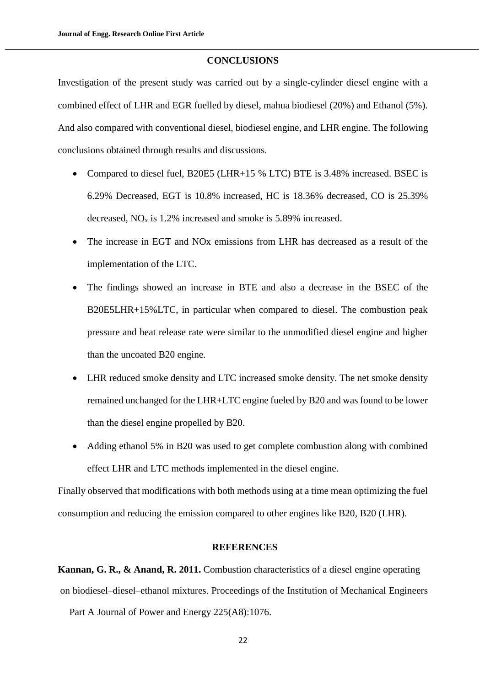#### **CONCLUSIONS**

Investigation of the present study was carried out by a single-cylinder diesel engine with a combined effect of LHR and EGR fuelled by diesel, mahua biodiesel (20%) and Ethanol (5%). And also compared with conventional diesel, biodiesel engine, and LHR engine. The following conclusions obtained through results and discussions.

- Compared to diesel fuel, B20E5 (LHR+15 % LTC) BTE is 3.48% increased. BSEC is 6.29% Decreased, EGT is 10.8% increased, HC is 18.36% decreased, CO is 25.39% decreased,  $NO<sub>x</sub>$  is 1.2% increased and smoke is 5.89% increased.
- The increase in EGT and NOx emissions from LHR has decreased as a result of the implementation of the LTC.
- The findings showed an increase in BTE and also a decrease in the BSEC of the B20E5LHR+15%LTC, in particular when compared to diesel. The combustion peak pressure and heat release rate were similar to the unmodified diesel engine and higher than the uncoated B20 engine.
- LHR reduced smoke density and LTC increased smoke density. The net smoke density remained unchanged for the LHR+LTC engine fueled by B20 and was found to be lower than the diesel engine propelled by B20.
- Adding ethanol 5% in B20 was used to get complete combustion along with combined effect LHR and LTC methods implemented in the diesel engine.

Finally observed that modifications with both methods using at a time mean optimizing the fuel consumption and reducing the emission compared to other engines like B20, B20 (LHR).

#### **REFERENCES**

**Kannan, G. R., & Anand, R. 2011.** Combustion characteristics of a diesel engine operating on biodiesel–diesel–ethanol mixtures. Proceedings of the Institution of Mechanical Engineers

Part A Journal of Power and Energy 225(A8):1076.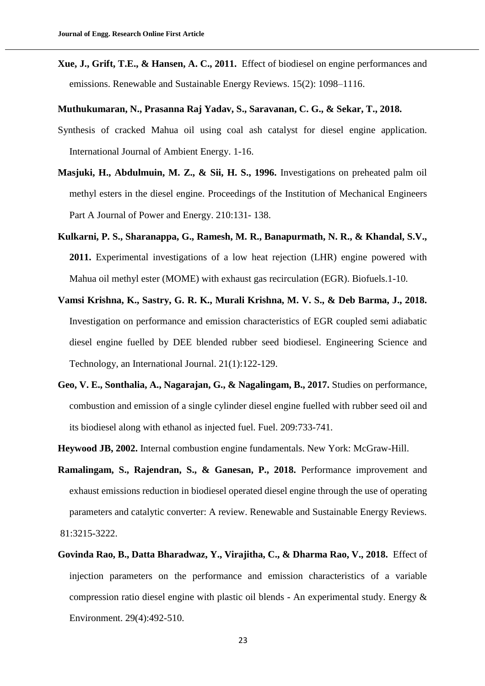**Xue, J., Grift, T.E., & Hansen, A. C., 2011.** Effect of biodiesel on engine performances and emissions. Renewable and Sustainable Energy Reviews. 15(2): 1098–1116.

**Muthukumaran, N., Prasanna Raj Yadav, S., Saravanan, C. G., & Sekar, T., 2018.**

- Synthesis of cracked Mahua oil using coal ash catalyst for diesel engine application. International Journal of Ambient Energy. 1-16.
- **Masjuki, H., Abdulmuin, M. Z., & Sii, H. S., 1996.** Investigations on preheated palm oil methyl esters in the diesel engine. Proceedings of the Institution of Mechanical Engineers Part A Journal of Power and Energy. 210:131- 138.
- **Kulkarni, P. S., Sharanappa, G., Ramesh, M. R., Banapurmath, N. R., & Khandal, S.V., 2011.** Experimental investigations of a low heat rejection (LHR) engine powered with Mahua oil methyl ester (MOME) with exhaust gas recirculation (EGR). Biofuels.1-10.
- **Vamsi Krishna, K., Sastry, G. R. K., Murali Krishna, M. V. S., & Deb Barma, J., 2018.** Investigation on performance and emission characteristics of EGR coupled semi adiabatic diesel engine fuelled by DEE blended rubber seed biodiesel. Engineering Science and Technology, an International Journal. 21(1):122-129.
- **Geo, V. E., Sonthalia, A., Nagarajan, G., & Nagalingam, B., 2017.** Studies on performance, combustion and emission of a single cylinder diesel engine fuelled with rubber seed oil and its biodiesel along with ethanol as injected fuel. Fuel. 209:733-741.
- **Heywood JB, 2002.** Internal combustion engine fundamentals. New York: McGraw-Hill.
- **Ramalingam, S., Rajendran, S., & Ganesan, P., 2018.** Performance improvement and exhaust emissions reduction in biodiesel operated diesel engine through the use of operating parameters and catalytic converter: A review. Renewable and Sustainable Energy Reviews. 81:3215-3222.
- **Govinda Rao, B., Datta Bharadwaz, Y., Virajitha, C., & Dharma Rao, V., 2018.** Effect of injection parameters on the performance and emission characteristics of a variable compression ratio diesel engine with plastic oil blends - An experimental study. Energy & Environment. 29(4):492-510.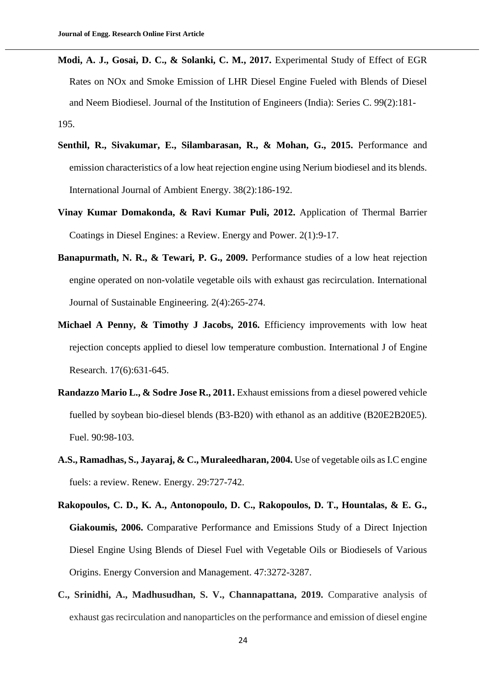- **Modi, A. J., Gosai, D. C., & Solanki, C. M., 2017.** Experimental Study of Effect of EGR Rates on NOx and Smoke Emission of LHR Diesel Engine Fueled with Blends of Diesel and Neem Biodiesel. Journal of the Institution of Engineers (India): Series C. 99(2):181- 195.
- **Senthil, R., Sivakumar, E., Silambarasan, R., & Mohan, G., 2015.** Performance and emission characteristics of a low heat rejection engine using Nerium biodiesel and its blends. International Journal of Ambient Energy. 38(2):186-192.
- **Vinay Kumar Domakonda, & Ravi Kumar Puli, 2012.** Application of Thermal Barrier Coatings in Diesel Engines: a Review. Energy and Power. 2(1):9-17.
- **Banapurmath, N. R., & Tewari, P. G., 2009.** Performance studies of a low heat rejection engine operated on non-volatile vegetable oils with exhaust gas recirculation. International Journal of Sustainable Engineering. 2(4):265-274.
- **Michael A Penny, & Timothy J Jacobs, 2016.** Efficiency improvements with low heat rejection concepts applied to diesel low temperature combustion. International J of Engine Research. 17(6):631-645.
- **Randazzo Mario L., & Sodre Jose R., 2011.** Exhaust emissions from a diesel powered vehicle fuelled by soybean bio-diesel blends (B3-B20) with ethanol as an additive (B20E2B20E5). Fuel. 90:98-103.
- **A.S., Ramadhas, S., Jayaraj, & C., Muraleedharan, 2004.** Use of vegetable oils as I.C engine fuels: a review. Renew. Energy. 29:727-742.
- **Rakopoulos, C. D., K. A., Antonopoulo, D. C., Rakopoulos, D. T., Hountalas, & E. G., Giakoumis, 2006.** Comparative Performance and Emissions Study of a Direct Injection Diesel Engine Using Blends of Diesel Fuel with Vegetable Oils or Biodiesels of Various Origins. Energy Conversion and Management. 47:3272-3287.
- **C., Srinidhi, A., Madhusudhan, S. V., Channapattana, 2019.** Comparative analysis of exhaust gas recirculation and nanoparticles on the performance and emission of diesel engine